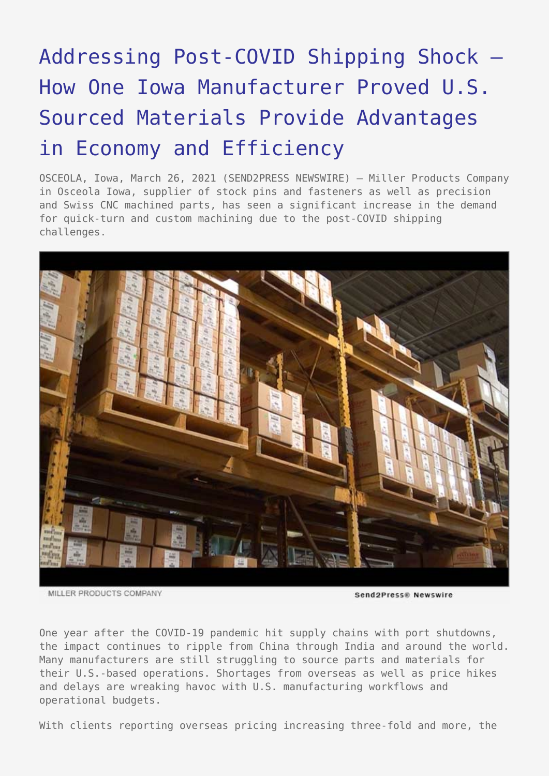## [Addressing Post-COVID Shipping Shock –](https://www.send2press.com/wire/addressing-post-covid-shipping-shock-how-one-iowa-manufacturer-proved-u-s-sourced-materials-provide-advantages-in-economy-and-efficiency/) [How One Iowa Manufacturer Proved U.S.](https://www.send2press.com/wire/addressing-post-covid-shipping-shock-how-one-iowa-manufacturer-proved-u-s-sourced-materials-provide-advantages-in-economy-and-efficiency/) [Sourced Materials Provide Advantages](https://www.send2press.com/wire/addressing-post-covid-shipping-shock-how-one-iowa-manufacturer-proved-u-s-sourced-materials-provide-advantages-in-economy-and-efficiency/) [in Economy and Efficiency](https://www.send2press.com/wire/addressing-post-covid-shipping-shock-how-one-iowa-manufacturer-proved-u-s-sourced-materials-provide-advantages-in-economy-and-efficiency/)

OSCEOLA, Iowa, March 26, 2021 (SEND2PRESS NEWSWIRE) — Miller Products Company in Osceola Iowa, supplier of stock pins and fasteners as well as precision and Swiss CNC machined parts, has seen a significant increase in the demand for quick-turn and custom machining due to the post-COVID shipping challenges.



MILLER PRODUCTS COMPANY

Send2Press@ Newswire

One year after the COVID-19 pandemic hit supply chains with port shutdowns, the impact continues to ripple from China through India and around the world. Many manufacturers are still struggling to source parts and materials for their U.S.-based operations. Shortages from overseas as well as price hikes and delays are wreaking havoc with U.S. manufacturing workflows and operational budgets.

With clients reporting overseas pricing increasing three-fold and more, the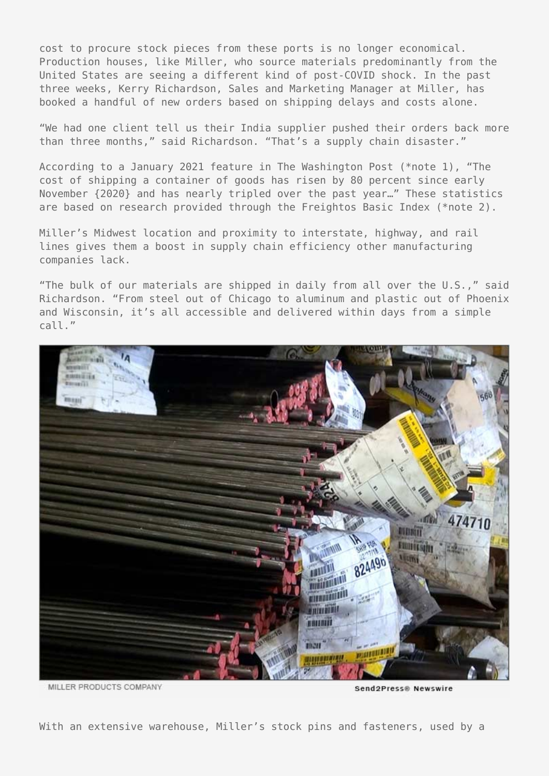cost to procure stock pieces from these ports is no longer economical. Production houses, like Miller, who source materials predominantly from the United States are seeing a different kind of post-COVID shock. In the past three weeks, Kerry Richardson, Sales and Marketing Manager at Miller, has booked a handful of new orders based on shipping delays and costs alone.

"We had one client tell us their India supplier pushed their orders back more than three months," said Richardson. "That's a supply chain disaster."

According to a January 2021 feature in The Washington Post (\*note 1), "The cost of shipping a container of goods has risen by 80 percent since early November {2020} and has nearly tripled over the past year…" These statistics are based on research provided through the Freightos Basic Index (\*note 2).

Miller's Midwest location and proximity to interstate, highway, and rail lines gives them a boost in supply chain efficiency other manufacturing companies lack.

"The bulk of our materials are shipped in daily from all over the U.S.," said Richardson. "From steel out of Chicago to aluminum and plastic out of Phoenix and Wisconsin, it's all accessible and delivered within days from a simple call."



MILLER PRODUCTS COMPANY

Send2Press® Newswire